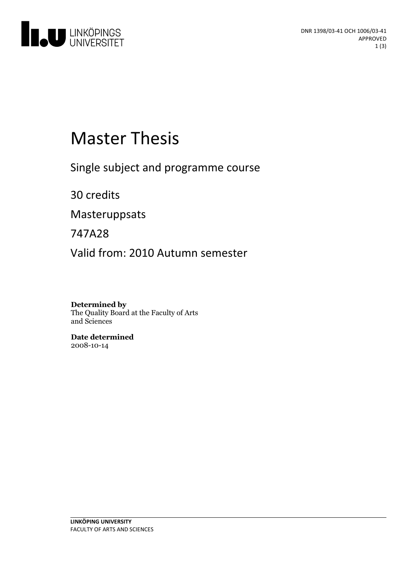

# **Master Thesis**

Single subject and programme course

30 credits

Masteruppsats

747A28

Valid from: 2010 Autumn semester

**Determined by** The Quality Board at the Faculty of Arts and Sciences

**Date determined** 2008-10-14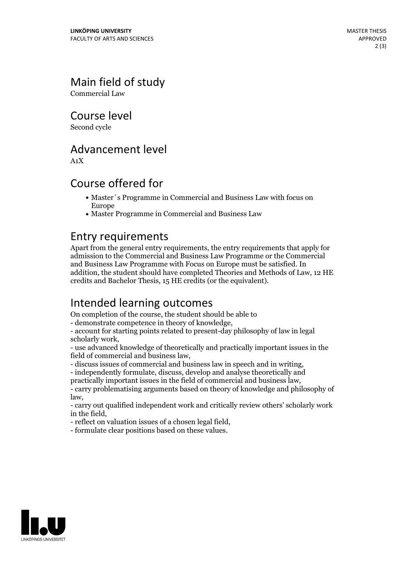## Main field of study

Commercial Law

Course level

Second cycle

#### Advancement level

A1X

#### Course offered for

- Master´s Programme in Commercial and Business Law with focus on Europe
- Master Programme in Commercial and Business Law

#### Entry requirements

Apart from the general entry requirements, the entry requirements that apply for admission to the Commercial and Business Law Programme or the Commercial and Business Law Programme with Focus on Europe must be satisfied. In addition, the student should have completed Theories and Methods of Law, 12 HE credits and Bachelor Thesis, 15 HE credits (or the equivalent).

#### Intended learning outcomes

On completion of the course, the student should be able to

- demonstrate competence in theory of knowledge, - account for starting points related to present-day philosophy of law in legal scholarly work,<br>- use advanced knowledge of theoretically and practically important issues in the

field of commercial and business law,<br>- discuss issues of commercial and business law in speech and in writing,<br>- independently formulate, discuss, develop and analyse theoretically and<br>practically important issues in the

- carry problematising arguments based on theory of knowledge and philosophy of

law, - carry out qualified independent work and critically review others' scholarly work

in the field, - reflect on valuation issues of <sup>a</sup> chosen legal field, - formulate clear positions based on these values.